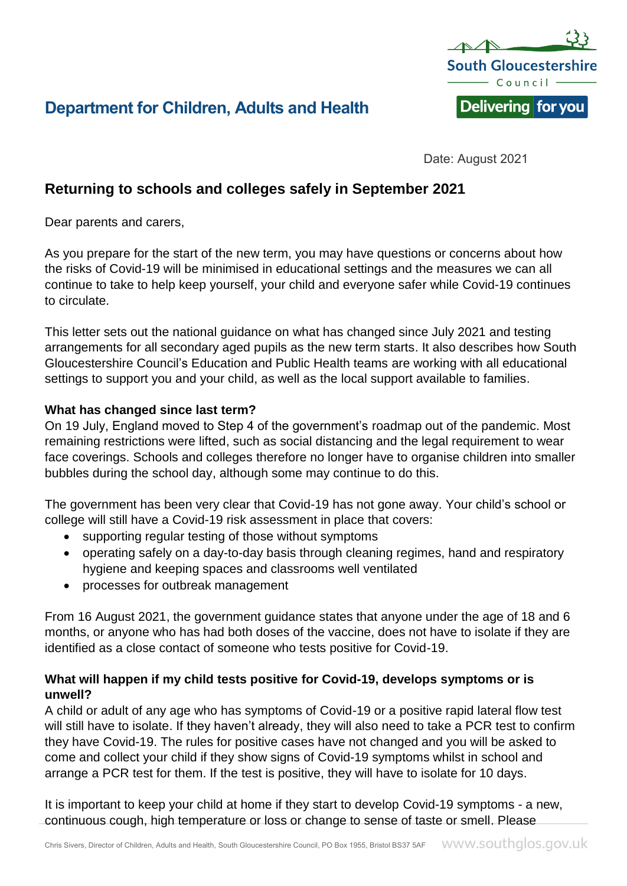

Date: August 2021

## **Returning to schools and colleges safely in September 2021**

Dear parents and carers,

As you prepare for the start of the new term, you may have questions or concerns about how the risks of Covid-19 will be minimised in educational settings and the measures we can all continue to take to help keep yourself, your child and everyone safer while Covid-19 continues to circulate.

This letter sets out the national guidance on what has changed since July 2021 and testing arrangements for all secondary aged pupils as the new term starts. It also describes how South Gloucestershire Council's Education and Public Health teams are working with all educational settings to support you and your child, as well as the local support available to families.

### **What has changed since last term?**

On 19 July, England moved to Step 4 of the government's roadmap out of the pandemic. Most remaining restrictions were lifted, such as social distancing and the legal requirement to wear face coverings. Schools and colleges therefore no longer have to organise children into smaller bubbles during the school day, although some may continue to do this.

The government has been very clear that Covid-19 has not gone away. Your child's school or college will still have a Covid-19 risk assessment in place that covers:

- supporting regular testing of those without symptoms
- operating safely on a day-to-day basis through cleaning regimes, hand and respiratory hygiene and keeping spaces and classrooms well ventilated
- processes for outbreak management

From 16 August 2021, the government guidance states that anyone under the age of 18 and 6 months, or anyone who has had both doses of the vaccine, does not have to isolate if they are identified as a close contact of someone who tests positive for Covid-19.

### **What will happen if my child tests positive for Covid-19, develops symptoms or is unwell?**

A child or adult of any age who has symptoms of Covid-19 or a positive rapid lateral flow test will still have to isolate. If they haven't already, they will also need to take a PCR test to confirm they have Covid-19. The rules for positive cases have not changed and you will be asked to come and collect your child if they show signs of Covid-19 symptoms whilst in school and arrange a PCR test for them. If the test is positive, they will have to isolate for 10 days.

It is important to keep your child at home if they start to develop Covid-19 symptoms - a new, continuous cough, high temperature or loss or change to sense of taste or smell. Please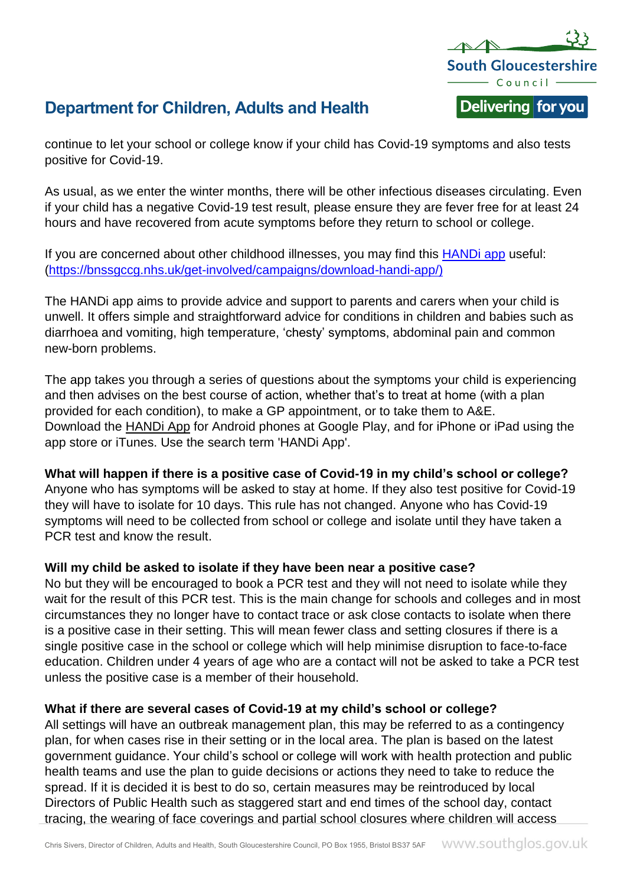

continue to let your school or college know if your child has Covid-19 symptoms and also tests positive for Covid-19.

As usual, as we enter the winter months, there will be other infectious diseases circulating. Even if your child has a negative Covid-19 test result, please ensure they are fever free for at least 24 hours and have recovered from acute symptoms before they return to school or college.

If you are concerned about other childhood illnesses, you may find this **HANDI** app useful: [\(https://bnssgccg.nhs.uk/get-involved/campaigns/download-handi-app/\)](https://bnssgccg.nhs.uk/get-involved/campaigns/download-handi-app/)

The HANDi app aims to provide advice and support to parents and carers when your child is unwell. It offers simple and straightforward advice for conditions in children and babies such as diarrhoea and vomiting, high temperature, 'chesty' symptoms, abdominal pain and common new-born problems.

The app takes you through a series of questions about the symptoms your child is experiencing and then advises on the best course of action, whether that's to treat at home (with a plan provided for each condition), to make a GP appointment, or to take them to A&E. Download the [HANDi App](https://bnssgccg.nhs.uk/get-involved/campaigns/download-handi-app/) for Android phones at Google Play, and for iPhone or iPad using the app store or iTunes. Use the search term 'HANDi App'.

### **What will happen if there is a positive case of Covid-19 in my child's school or college?**

Anyone who has symptoms will be asked to stay at home. If they also test positive for Covid-19 they will have to isolate for 10 days. This rule has not changed. Anyone who has Covid-19 symptoms will need to be collected from school or college and isolate until they have taken a PCR test and know the result.

### **Will my child be asked to isolate if they have been near a positive case?**

No but they will be encouraged to book a PCR test and they will not need to isolate while they wait for the result of this PCR test. This is the main change for schools and colleges and in most circumstances they no longer have to contact trace or ask close contacts to isolate when there is a positive case in their setting. This will mean fewer class and setting closures if there is a single positive case in the school or college which will help minimise disruption to face-to-face education. Children under 4 years of age who are a contact will not be asked to take a PCR test unless the positive case is a member of their household.

### **What if there are several cases of Covid-19 at my child's school or college?**

All settings will have an outbreak management plan, this may be referred to as a contingency plan, for when cases rise in their setting or in the local area. The plan is based on the latest government guidance. Your child's school or college will work with health protection and public health teams and use the plan to guide decisions or actions they need to take to reduce the spread. If it is decided it is best to do so, certain measures may be reintroduced by local Directors of Public Health such as staggered start and end times of the school day, contact tracing, the wearing of face coverings and partial school closures where children will access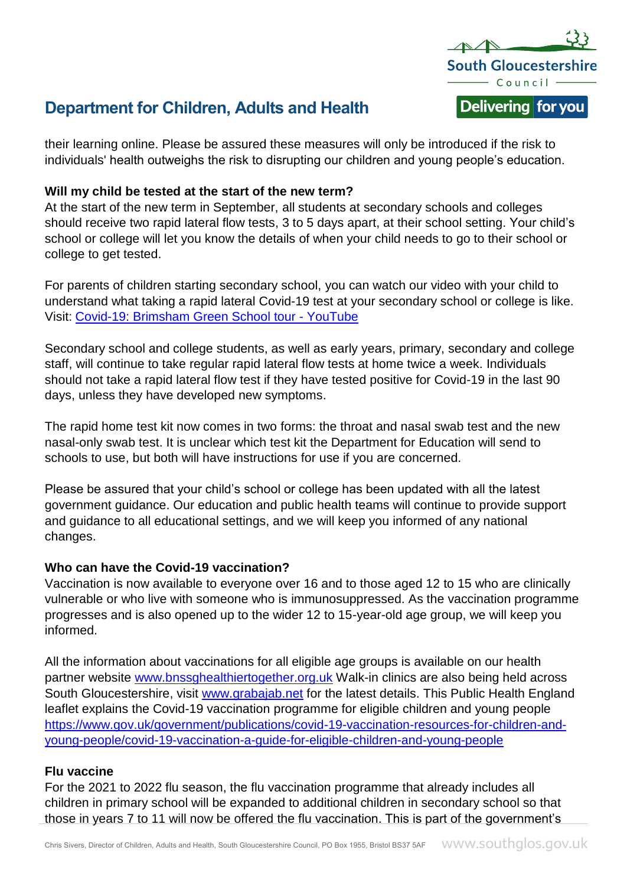

their learning online. Please be assured these measures will only be introduced if the risk to individuals' health outweighs the risk to disrupting our children and young people's education.

### **Will my child be tested at the start of the new term?**

At the start of the new term in September, all students at secondary schools and colleges should receive two rapid lateral flow tests, 3 to 5 days apart, at their school setting. Your child's school or college will let you know the details of when your child needs to go to their school or college to get tested.

For parents of children starting secondary school, you can watch our video with your child to understand what taking a rapid lateral Covid-19 test at your secondary school or college is like. Visit: [Covid-19: Brimsham Green School tour -](https://www.youtube.com/watch?v=R5rFuZidiNg) YouTube

Secondary school and college students, as well as early years, primary, secondary and college staff, will continue to take regular rapid lateral flow tests at home twice a week. Individuals should not take a rapid lateral flow test if they have tested positive for Covid-19 in the last 90 days, unless they have developed new symptoms.

The rapid home test kit now comes in two forms: the throat and nasal swab test and the new nasal-only swab test. It is unclear which test kit the Department for Education will send to schools to use, but both will have instructions for use if you are concerned.

Please be assured that your child's school or college has been updated with all the latest government guidance. Our education and public health teams will continue to provide support and guidance to all educational settings, and we will keep you informed of any national changes.

#### **Who can have the Covid-19 vaccination?**

Vaccination is now available to everyone over 16 and to those aged 12 to 15 who are clinically vulnerable or who live with someone who is immunosuppressed. As the vaccination programme progresses and is also opened up to the wider 12 to 15-year-old age group, we will keep you informed.

All the information about vaccinations for all eligible age groups is available on our health partner website [www.bnssghealthiertogether.org.uk](http://www.bnssghealthiertogether.org.uk/) Walk-in clinics are also being held across South Gloucestershire, visit [www.grabajab.net](http://www.grabajab.net/) for the latest details. This Public Health England leaflet explains the Covid-19 vaccination programme for eligible children and young people [https://www.gov.uk/government/publications/covid-19-vaccination-resources-for-children-and](https://www.gov.uk/government/publications/covid-19-vaccination-resources-for-children-and-young-people/covid-19-vaccination-a-guide-for-eligible-children-and-young-people)[young-people/covid-19-vaccination-a-guide-for-eligible-children-and-young-people](https://www.gov.uk/government/publications/covid-19-vaccination-resources-for-children-and-young-people/covid-19-vaccination-a-guide-for-eligible-children-and-young-people)

#### **Flu vaccine**

For the 2021 to 2022 flu season, the flu vaccination programme that already includes all children in primary school will be expanded to additional children in secondary school so that those in years 7 to 11 will now be offered the flu vaccination. This is part of the government's